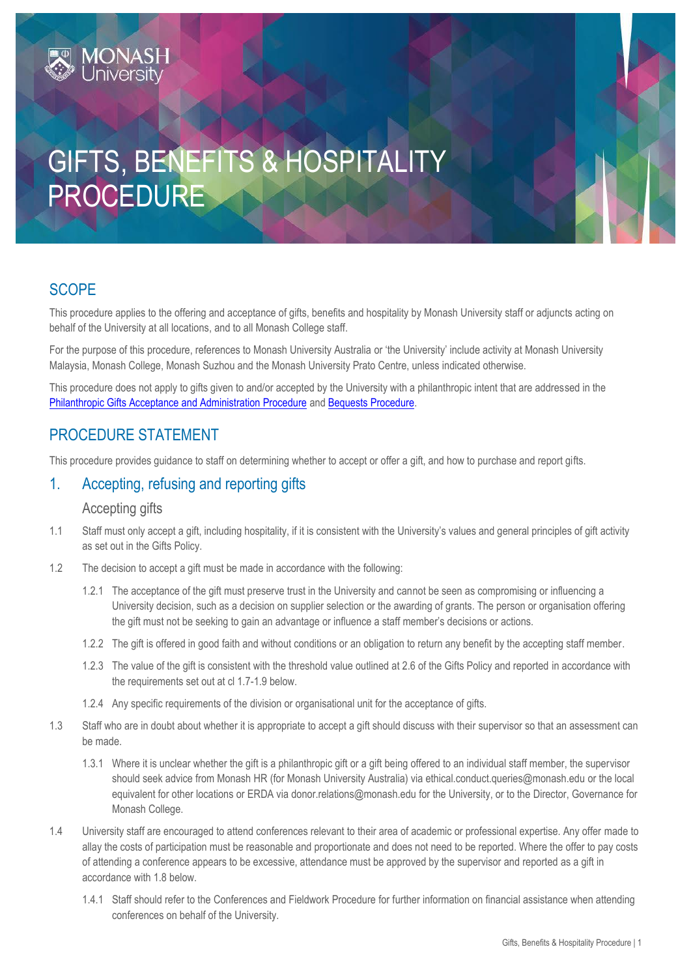# **MONASH**<br>Universitv

# GIFTS, BENEFITS & HOSPITALITY PROCEDURE

# **SCOPE**

This procedure applies to the offering and acceptance of gifts, benefits and hospitality by Monash University staff or adjuncts acting on behalf of the University at all locations, and to all Monash College staff.

For the purpose of this procedure, references to Monash University Australia or 'the University' include activity at Monash University Malaysia, Monash College, Monash Suzhou and the Monash University Prato Centre, unless indicated otherwise.

This procedure does not apply to gifts given to and/or accepted by the University with a philanthropic intent that are addressed in the [Philanthropic Gifts Acceptance and Administration Procedure](https://publicpolicydms.monash.edu/Monash/documents/1909176) and [Bequests Procedure.](https://publicpolicydms.monash.edu/Monash/documents/1909177)

# PROCEDURE STATEMENT

This procedure provides guidance to staff on determining whether to accept or offer a gift, and how to purchase and report gifts.

# 1. Accepting, refusing and reporting gifts

#### Accepting gifts

- 1.1 Staff must only accept a gift, including hospitality, if it is consistent with the University's values and general principles of gift activity as set out in the Gifts Policy.
- 1.2 The decision to accept a gift must be made in accordance with the following:
	- 1.2.1 The acceptance of the gift must preserve trust in the University and cannot be seen as compromising or influencing a University decision, such as a decision on supplier selection or the awarding of grants. The person or organisation offering the gift must not be seeking to gain an advantage or influence a staff member's decisions or actions.
	- 1.2.2 The gift is offered in good faith and without conditions or an obligation to return any benefit by the accepting staff member.
	- 1.2.3 The value of the gift is consistent with the threshold value outlined at 2.6 of the Gifts Policy and reported in accordance with the requirements set out at cl 1.7-1.9 below.
	- 1.2.4 Any specific requirements of the division or organisational unit for the acceptance of gifts.
- 1.3 Staff who are in doubt about whether it is appropriate to accept a gift should discuss with their supervisor so that an assessment can be made.
	- 1.3.1 Where it is unclear whether the gift is a philanthropic gift or a gift being offered to an individual staff member, the supervisor should seek advice from Monash HR (for Monash University Australia) via [ethical.conduct.queries@monash.edu](mailto:Ethical.Conduct.Queries@monash.edu) or the local equivalent for other locations or ERDA via [donor.relations@monash.edu](mailto:donor.relations@monash.edu) for the University, or to the Director, Governance for Monash College.
- 1.4 University staff are encouraged to attend conferences relevant to their area of academic or professional expertise. Any offer made to allay the costs of participation must be reasonable and proportionate and does not need to be reported. Where the offer to pay costs of attending a conference appears to be excessive, attendance must be approved by the supervisor and reported as a gift in accordance with 1.8 below.
	- 1.4.1 Staff should refer to the [Conferences and Fieldwork Procedure](https://www.monash.edu/__data/assets/pdf_file/0008/799361/Conferences-and-fieldwork.pdf) for further information on financial assistance when attending conferences on behalf of the University.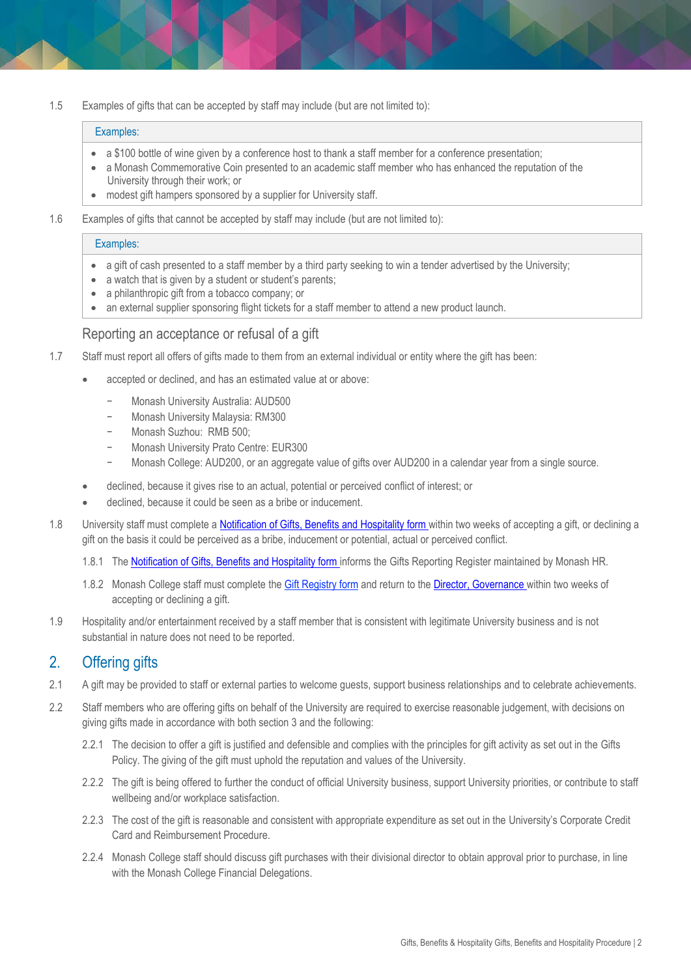1.5 Examples of gifts that can be accepted by staff may include (but are not limited to):

#### Examples:

- a \$100 bottle of wine given by a conference host to thank a staff member for a conference presentation;
- a Monash Commemorative Coin presented to an academic staff member who has enhanced the reputation of the University through their work; or
- modest gift hampers sponsored by a supplier for University staff.
- 1.6 Examples of gifts that cannot be accepted by staff may include (but are not limited to):

#### Examples:

- a gift of cash presented to a staff member by a third party seeking to win a tender advertised by the University;
- a watch that is given by a student or student's parents;
- a philanthropic gift from a tobacco company; or
- an external supplier sponsoring flight tickets for a staff member to attend a new product launch.

#### Reporting an acceptance or refusal of a gift

- 1.7 Staff must report all offers of gifts made to them from an external individual or entity where the gift has been:
	- accepted or declined, and has an estimated value at or above:
		- − Monash University Australia: AUD500
		- − Monash University Malaysia: RM300
		- − Monash Suzhou: RMB 500;
		- − Monash University Prato Centre: EUR300
		- Monash College: AUD200, or an aggregate value of gifts over AUD200 in a calendar year from a single source.
		- declined, because it gives rise to an actual, potential or perceived [conflict of interest;](https://www.monash.edu/__data/assets/pdf_file/0009/792297/Conflict-of-Interest.pdf) or
	- declined, because it could be seen as a bribe or inducement.
- 1.8 University staff must complete [a Notification of Gifts, Benefits and Hospitality form](https://www.monash.edu/eforms-resources/frevvo-forms/hr/notification-gifts-benefits-or-hospitality) within two weeks of accepting a gift, or declining a gift on the basis it could be perceived as a bribe, inducement or potential, actual or perceived conflict.
	- 1.8.1 The [Notification of Gifts, Benefits and Hospitality form](https://www.monash.edu/eforms-resources/frevvo-forms/hr/notification-gifts-benefits-or-hospitality) informs the Gifts Reporting Register maintained by Monash HR.
	- 1.8.2 Monash College staff must complete the [Gift Registry form](https://monashuni.sharepoint.com/:w:/r/sites/MonashCollege/tools-and-resources/policies-procedures-and-guidelines/_layouts/15/Doc.aspx?sourcedoc=%7B4BB02A44-0ABA-4454-BECD-83E10C957C3B%7D&file=Gift%20Registry%20Form.docx&action=default&mobileredirect=true&DefaultItemOpen=1) and return to the Director, Governance within two weeks of accepting or declining a gift.
- 1.9 Hospitality and/or entertainment received by a staff member that is consistent with legitimate University business and is not substantial in nature does not need to be reported.

#### 2. Offering gifts

- 2.1 A gift may be provided to staff or external parties to welcome guests, support business relationships and to celebrate achievements.
- 2.2 Staff members who are offering gifts on behalf of the University are required to exercise reasonable judgement, with decisions on giving gifts made in accordance with both section 3 and the following:
	- 2.2.1 The decision to offer a gift is justified and defensible and complies with the principles for gift activity as set out in the Gifts Policy. The giving of the gift must uphold the reputation and values of the University.
	- 2.2.2 The gift is being offered to further the conduct of official University business, support University priorities, or contribute to staff wellbeing and/or workplace satisfaction.
	- 2.2.3 The cost of the gift is reasonable and consistent with appropriate expenditure as set out in the University's [Corporate Credit](https://www.monash.edu/__data/assets/pdf_file/0007/780730/Corporate-Credit-Card-and-Reimbursements-Procedure.pdf)  [Card and Reimbursement Procedure.](https://www.monash.edu/__data/assets/pdf_file/0007/780730/Corporate-Credit-Card-and-Reimbursements-Procedure.pdf)
	- 2.2.4 Monash College staff should discuss gift purchases with their divisional director to obtain approval prior to purchase, in line with the Monash College Financial Delegations.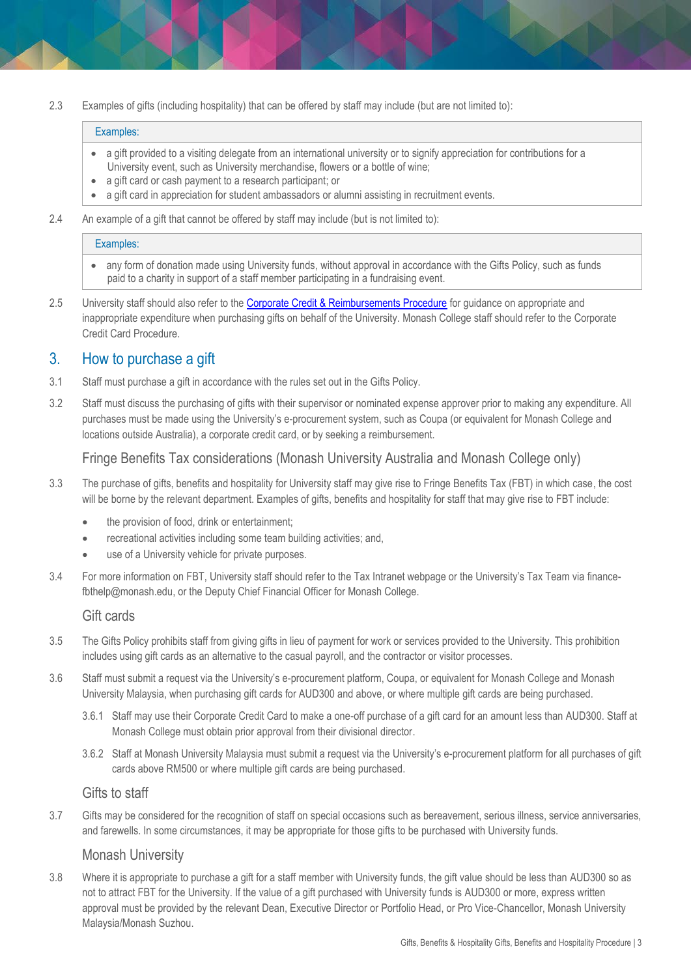2.3 Examples of gifts (including hospitality) that can be offered by staff may include (but are not limited to):

#### Examples:

- a gift provided to a visiting delegate from an international university or to signify appreciation for contributions for a University event, such as University merchandise, flowers or a bottle of wine;
- a gift card or cash payment to a research participant; or
- a gift card in appreciation for student ambassadors or alumni assisting in recruitment events.
- 2.4 An example of a gift that cannot be offered by staff may include (but is not limited to):

#### Examples:

- any form of donation made using University funds, without approval in accordance with the Gifts Policy, such as funds paid to a charity in support of a staff member participating in a fundraising event.
- 2.5 University staff should also refer to th[e Corporate Credit & Reimbursements Procedure](https://publicpolicydms.monash.edu/Monash/documents/1909192) for guidance on appropriate and inappropriate expenditure when purchasing gifts on behalf of the University. Monash College staff should refer to the Corporate Credit Card Procedure.

# 3. How to purchase a gift

- 3.1 Staff must purchase a gift in accordance with the rules set out in the Gifts Policy.
- 3.2 Staff must discuss the purchasing of gifts with their supervisor or nominated expense approver prior to making any expenditure. All purchases must be made using the University's e-procurement system, such as Coupa (or equivalent for Monash College and locations outside Australia), a corporate credit card, or by seeking a reimbursement.

## Fringe Benefits Tax considerations (Monash University Australia and Monash College only)

- 3.3 The purchase of gifts, benefits and hospitality for University staff may give rise to Fringe Benefits Tax (FBT) in which case, the cost will be borne by the relevant department. Examples of gifts, benefits and hospitality for staff that may give rise to FBT include:
	- the provision of food, drink or entertainment;
	- recreational activities including some team building activities; and,
	- use of a University vehicle for private purposes.
- 3.4 For more information on FBT, University staff should refer to the [Tax Intranet webpage or the University's Tax Team via](https://www.intranet.monash/finance/our-services/taxation/fbt) [finance](mailto:.finance-fbthelp@monash.edu)[fbthelp@monash.edu,](mailto:.finance-fbthelp@monash.edu) or the Deputy Chief Financial Officer for Monash College.

## Gift cards

- 3.5 The Gifts Policy prohibits staff from giving gifts in lieu of payment for work or services provided to the University. This prohibition includes using gift cards as an alternative to the casual payroll, and the contractor or visitor processes.
- 3.6 Staff must submit a request via the University's e-procurement platform, Coupa, or equivalent for Monash College and Monash University Malaysia, when purchasing gift cards for AUD300 and above, or where multiple gift cards are being purchased.
	- 3.6.1 Staff may use their Corporate Credit Card to make a one-off purchase of a gift card for an amount less than AUD300. Staff at Monash College must obtain prior approval from their divisional director.
	- 3.6.2 Staff at Monash University Malaysia must submit a request via the University's e-procurement platform for all purchases of gift cards above RM500 or where multiple gift cards are being purchased.

#### Gifts to staff

3.7 Gifts may be considered for the recognition of staff on special occasions such as bereavement, serious illness, service anniversaries, and farewells. In some circumstances, it may be appropriate for those gifts to be purchased with University funds.

#### Monash University

3.8 Where it is appropriate to purchase a gift for a staff member with University funds, the gift value should be less than AUD300 so as not to attract FBT for the University. If the value of a gift purchased with University funds is AUD300 or more, express written approval must be provided by the relevant Dean, Executive Director or Portfolio Head, or Pro Vice-Chancellor, Monash University Malaysia/Monash Suzhou.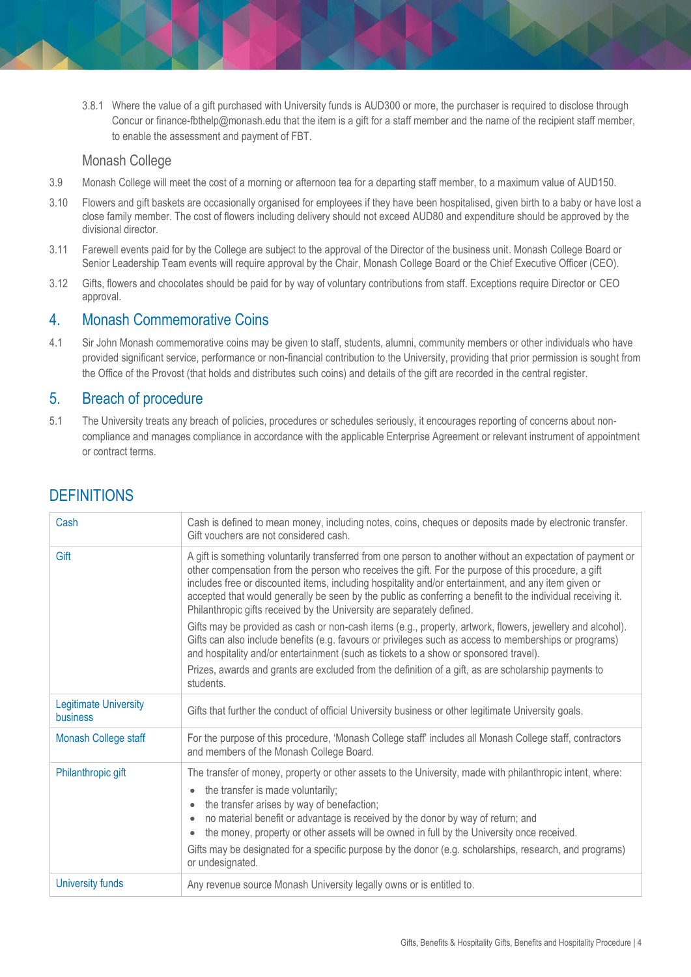3.8.1 Where the value of a gift purchased with University funds is AUD300 or more, the purchaser is required to disclose through Concur or finance-fbthelp@monash.edu that the item is a gift for a staff member and the name of the recipient staff member, to enable the assessment and payment of FBT.

#### Monash College

- 3.9 Monash College will meet the cost of a morning or afternoon tea for a departing staff member, to a maximum value of AUD150.
- 3.10 Flowers and gift baskets are occasionally organised for employees if they have been hospitalised, given birth to a baby or have lost a close family member. The cost of flowers including delivery should not exceed AUD80 and expenditure should be approved by the divisional director.
- 3.11 Farewell events paid for by the College are subject to the approval of the Director of the business unit. Monash College Board or Senior Leadership Team events will require approval by the Chair, Monash College Board or the Chief Executive Officer (CEO).
- 3.12 Gifts, flowers and chocolates should be paid for by way of voluntary contributions from staff. Exceptions require Director or CEO approval.

# 4. Monash Commemorative Coins

4.1 Sir John Monash commemorative coins may be given to staff, students, alumni, community members or other individuals who have provided significant service, performance or non-financial contribution to the University, providing that prior permission is sought from the Office of the Provost (that holds and distributes such coins) and details of the gift are recorded in the central register.

## 5. Breach of procedure

5.1 The University treats any breach of policies, procedures or schedules seriously, it encourages reporting of concerns about noncompliance and manages compliance in accordance with the applicable Enterprise Agreement or relevant instrument of appointment or contract terms.

| Cash                                     | Cash is defined to mean money, including notes, coins, cheques or deposits made by electronic transfer.<br>Gift vouchers are not considered cash.                                                                                                                                                                                                                                                                                                                                                                   |
|------------------------------------------|---------------------------------------------------------------------------------------------------------------------------------------------------------------------------------------------------------------------------------------------------------------------------------------------------------------------------------------------------------------------------------------------------------------------------------------------------------------------------------------------------------------------|
| Gift                                     | A gift is something voluntarily transferred from one person to another without an expectation of payment or<br>other compensation from the person who receives the gift. For the purpose of this procedure, a gift<br>includes free or discounted items, including hospitality and/or entertainment, and any item given or<br>accepted that would generally be seen by the public as conferring a benefit to the individual receiving it.<br>Philanthropic gifts received by the University are separately defined. |
|                                          | Gifts may be provided as cash or non-cash items (e.g., property, artwork, flowers, jewellery and alcohol).<br>Gifts can also include benefits (e.g. favours or privileges such as access to memberships or programs)<br>and hospitality and/or entertainment (such as tickets to a show or sponsored travel).                                                                                                                                                                                                       |
|                                          | Prizes, awards and grants are excluded from the definition of a gift, as are scholarship payments to<br>students.                                                                                                                                                                                                                                                                                                                                                                                                   |
| <b>Legitimate University</b><br>business | Gifts that further the conduct of official University business or other legitimate University goals.                                                                                                                                                                                                                                                                                                                                                                                                                |
| Monash College staff                     | For the purpose of this procedure, 'Monash College staff' includes all Monash College staff, contractors<br>and members of the Monash College Board.                                                                                                                                                                                                                                                                                                                                                                |
| Philanthropic gift                       | The transfer of money, property or other assets to the University, made with philanthropic intent, where:<br>the transfer is made voluntarily;<br>the transfer arises by way of benefaction;<br>no material benefit or advantage is received by the donor by way of return; and<br>the money, property or other assets will be owned in full by the University once received.<br>Gifts may be designated for a specific purpose by the donor (e.g. scholarships, research, and programs)<br>or undesignated.        |
| University funds                         | Any revenue source Monash University legally owns or is entitled to.                                                                                                                                                                                                                                                                                                                                                                                                                                                |

# **DEFINITIONS**